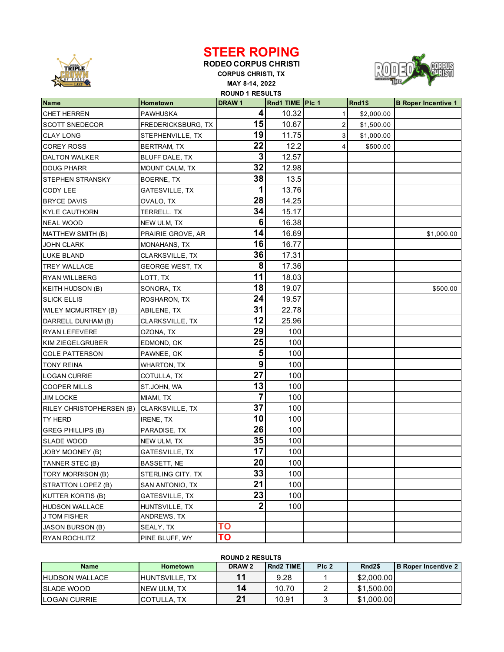

## **STEER ROPING**

**RODEO CORPUS CHRISTI CORPUS CHRISTI, TX MAY 8-14, 2022 ROUND 1 RESULTS**



| <b>Name</b>                | <b>Hometown</b>        | DRAW <sub>1</sub> | Rnd1 TIME   Plc 1 |                | Rnd1\$     | <b>B</b> Roper Incentive 1 |
|----------------------------|------------------------|-------------------|-------------------|----------------|------------|----------------------------|
| <b>CHET HERREN</b>         | <b>PAWHUSKA</b>        | 4                 | 10.32             | 1              | \$2,000.00 |                            |
| <b>SCOTT SNEDECOR</b>      | FREDERICKSBURG, TX     | 15                | 10.67             | $\overline{2}$ | \$1,500.00 |                            |
| <b>CLAY LONG</b>           | STEPHENVILLE, TX       | 19                | 11.75             | 3              | \$1,000.00 |                            |
| <b>COREY ROSS</b>          | BERTRAM, TX            | 22                | 12.2              | 4              | \$500.00   |                            |
| <b>DALTON WALKER</b>       | BLUFF DALE, TX         | 3                 | 12.57             |                |            |                            |
| <b>DOUG PHARR</b>          | MOUNT CALM, TX         | 32                | 12.98             |                |            |                            |
| <b>STEPHEN STRANSKY</b>    | BOERNE, TX             | 38                | 13.5              |                |            |                            |
| CODY LEE                   | GATESVILLE, TX         | 1                 | 13.76             |                |            |                            |
| <b>BRYCE DAVIS</b>         | OVALO, TX              | 28                | 14.25             |                |            |                            |
| <b>KYLE CAUTHORN</b>       | TERRELL, TX            | 34                | 15.17             |                |            |                            |
| <b>NEAL WOOD</b>           | NEW ULM, TX            | 6                 | 16.38             |                |            |                            |
| MATTHEW SMITH (B)          | PRAIRIE GROVE, AR      | 14                | 16.69             |                |            | \$1,000.00                 |
| <b>JOHN CLARK</b>          | MONAHANS, TX           | 16                | 16.77             |                |            |                            |
| LUKE BLAND                 | CLARKSVILLE, TX        | 36                | 17.31             |                |            |                            |
| <b>TREY WALLACE</b>        | <b>GEORGE WEST, TX</b> | 8                 | 17.36             |                |            |                            |
| <b>RYAN WILLBERG</b>       | LOTT, TX               | 11                | 18.03             |                |            |                            |
| KEITH HUDSON (B)           | SONORA, TX             | 18                | 19.07             |                |            | \$500.00                   |
| <b>SLICK ELLIS</b>         | ROSHARON, TX           | 24                | 19.57             |                |            |                            |
| <b>WILEY MCMURTREY (B)</b> | ABILENE, TX            | 31                | 22.78             |                |            |                            |
| DARRELL DUNHAM (B)         | CLARKSVILLE, TX        | 12                | 25.96             |                |            |                            |
| RYAN LEFEVERE              | OZONA, TX              | 29                | 100               |                |            |                            |
| KIM ZIEGELGRUBER           | EDMOND, OK             | 25                | 100               |                |            |                            |
| <b>COLE PATTERSON</b>      | PAWNEE, OK             | 5                 | 100               |                |            |                            |
| <b>TONY REINA</b>          | WHARTON, TX            | 9                 | 100               |                |            |                            |
| <b>LOGAN CURRIE</b>        | COTULLA, TX            | 27                | 100               |                |            |                            |
| <b>COOPER MILLS</b>        | ST.JOHN, WA            | 13                | 100               |                |            |                            |
| <b>JIM LOCKE</b>           | MIAMI, TX              | 7                 | 100               |                |            |                            |
| RILEY CHRISTOPHERSEN (B)   | CLARKSVILLE, TX        | 37                | 100               |                |            |                            |
| <b>TY HERD</b>             | IRENE, TX              | 10                | 100               |                |            |                            |
| <b>GREG PHILLIPS (B)</b>   | PARADISE, TX           | 26                | 100               |                |            |                            |
| <b>SLADE WOOD</b>          | NEW ULM, TX            | 35                | 100               |                |            |                            |
| JOBY MOONEY (B)            | GATESVILLE, TX         | 17                | 100               |                |            |                            |
| TANNER STEC (B)            | BASSETT, NE            | 20 <sup>1</sup>   | 100               |                |            |                            |
| TORY MORRISON (B)          | STERLING CITY, TX      | 33                | 100               |                |            |                            |
| STRATTON LOPEZ (B)         | SAN ANTONIO, TX        | 21                | 100               |                |            |                            |
| <b>KUTTER KORTIS (B)</b>   | GATESVILLE, TX         | 23                | 100               |                |            |                            |
| <b>HUDSON WALLACE</b>      | HUNTSVILLE, TX         | 2                 | 100               |                |            |                            |
| <b>J TOM FISHER</b>        | ANDREWS, TX            |                   |                   |                |            |                            |
| JASON BURSON (B)           | SEALY, TX              | ΤO                |                   |                |            |                            |
| <b>RYAN ROCHLITZ</b>       | PINE BLUFF, WY         | ΤO                |                   |                |            |                            |

## **ROUND 2 RESULTS**

| <b>Name</b>           | <b>Hometown</b>         | DRAW <sub>2</sub> | <b>Rnd2 TIME</b> | PIc <sub>2</sub> | Rnd <sub>2\$</sub> | <b>IB Roper Incentive 2</b> |
|-----------------------|-------------------------|-------------------|------------------|------------------|--------------------|-----------------------------|
| <b>HUDSON WALLACE</b> | <b>I</b> HUNTSVILLE. TX |                   | 9.28             |                  | \$2,000.00         |                             |
| <b>ISLADE WOOD</b>    | <b>NEW ULM. TX</b>      | 14                | 10.70            |                  | \$1,500.00         |                             |
| <b>ILOGAN CURRIE</b>  | <b>COTULLA TX</b>       | າ                 | 10.91            |                  | \$1,000.00         |                             |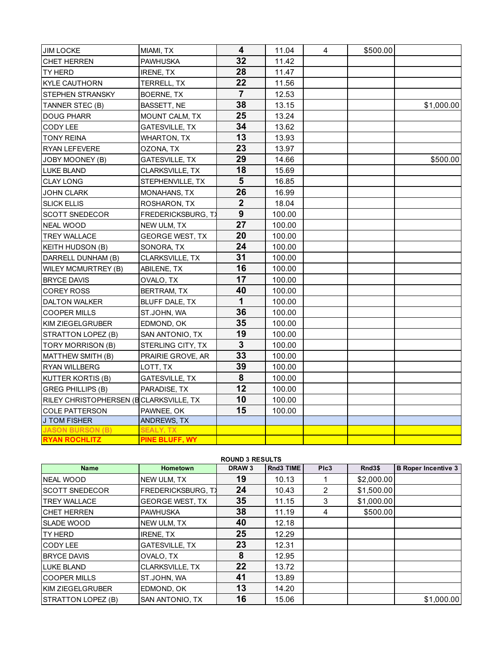| <b>JIM LOCKE</b>                       | MIAMI, TX                 | 4              | 11.04  | 4 | \$500.00 |            |
|----------------------------------------|---------------------------|----------------|--------|---|----------|------------|
| <b>CHET HERREN</b>                     | <b>PAWHUSKA</b>           | 32             | 11.42  |   |          |            |
| TY HERD                                | IRENE, TX                 | 28             | 11.47  |   |          |            |
| KYLE CAUTHORN                          | TERRELL, TX               | 22             | 11.56  |   |          |            |
| <b>STEPHEN STRANSKY</b>                | BOERNE, TX                | $\overline{7}$ | 12.53  |   |          |            |
| TANNER STEC (B)                        | BASSETT, NE               | 38             | 13.15  |   |          | \$1,000.00 |
| <b>DOUG PHARR</b>                      | MOUNT CALM, TX            | 25             | 13.24  |   |          |            |
| <b>CODY LEE</b>                        | <b>GATESVILLE, TX</b>     | 34             | 13.62  |   |          |            |
| <b>TONY REINA</b>                      | <b>WHARTON, TX</b>        | 13             | 13.93  |   |          |            |
| <b>RYAN LEFEVERE</b>                   | OZONA, TX                 | 23             | 13.97  |   |          |            |
| JOBY MOONEY (B)                        | <b>GATESVILLE, TX</b>     | 29             | 14.66  |   |          | \$500.00   |
| <b>LUKE BLAND</b>                      | CLARKSVILLE, TX           | 18             | 15.69  |   |          |            |
| <b>CLAY LONG</b>                       | STEPHENVILLE, TX          | 5              | 16.85  |   |          |            |
| JOHN CLARK                             | MONAHANS, TX              | 26             | 16.99  |   |          |            |
| <b>SLICK ELLIS</b>                     | ROSHARON, TX              | $\overline{2}$ | 18.04  |   |          |            |
| <b>SCOTT SNEDECOR</b>                  | <b>FREDERICKSBURG, TX</b> | 9              | 100.00 |   |          |            |
| <b>NEAL WOOD</b>                       | NEW ULM, TX               | 27             | 100.00 |   |          |            |
| <b>TREY WALLACE</b>                    | <b>GEORGE WEST, TX</b>    | 20             | 100.00 |   |          |            |
| <b>KEITH HUDSON (B)</b>                | SONORA, TX                | 24             | 100.00 |   |          |            |
| DARRELL DUNHAM (B)                     | CLARKSVILLE, TX           | 31             | 100.00 |   |          |            |
| <b>WILEY MCMURTREY (B)</b>             | ABILENE, TX               | 16             | 100.00 |   |          |            |
| <b>BRYCE DAVIS</b>                     | OVALO, TX                 | 17             | 100.00 |   |          |            |
| <b>COREY ROSS</b>                      | BERTRAM, TX               | 40             | 100.00 |   |          |            |
| <b>DALTON WALKER</b>                   | BLUFF DALE, TX            | $\mathbf{1}$   | 100.00 |   |          |            |
| <b>COOPER MILLS</b>                    | ST.JOHN, WA               | 36             | 100.00 |   |          |            |
| KIM ZIEGELGRUBER                       | EDMOND, OK                | 35             | 100.00 |   |          |            |
| STRATTON LOPEZ (B)                     | SAN ANTONIO, TX           | 19             | 100.00 |   |          |            |
| TORY MORRISON (B)                      | STERLING CITY, TX         | $\overline{3}$ | 100.00 |   |          |            |
| MATTHEW SMITH (B)                      | PRAIRIE GROVE, AR         | 33             | 100.00 |   |          |            |
| <b>RYAN WILLBERG</b>                   | LOTT, TX                  | 39             | 100.00 |   |          |            |
| KUTTER KORTIS (B)                      | GATESVILLE, TX            | $\pmb{8}$      | 100.00 |   |          |            |
| <b>GREG PHILLIPS (B)</b>               | PARADISE, TX              | 12             | 100.00 |   |          |            |
| RILEY CHRISTOPHERSEN (BCLARKSVILLE, TX |                           | 10             | 100.00 |   |          |            |
| COLE PATTERSON                         | PAWNEE, OK                | 15             | 100.00 |   |          |            |
| <b>J TOM FISHER</b>                    | ANDREWS, TX               |                |        |   |          |            |
| <b>JASON BURSON (B)</b>                | <b>SEALY, TX</b>          |                |        |   |          |            |
| <b>RYAN ROCHLITZ</b>                   | <b>PINE BLUFF, WY</b>     |                |        |   |          |            |

| <b>ROUND 3 RESULTS</b> |                           |                   |           |      |            |                            |  |
|------------------------|---------------------------|-------------------|-----------|------|------------|----------------------------|--|
| <b>Name</b>            | Hometown                  | DRAW <sub>3</sub> | Rnd3 TIME | PIc3 | Rnd3\$     | <b>B</b> Roper Incentive 3 |  |
| <b>NEAL WOOD</b>       | NEW ULM, TX               | 19                | 10.13     |      | \$2,000.00 |                            |  |
| <b>SCOTT SNEDECOR</b>  | <b>FREDERICKSBURG, T)</b> | 24                | 10.43     | 2    | \$1,500.00 |                            |  |
| <b>TREY WALLACE</b>    | <b>GEORGE WEST, TX</b>    | 35                | 11.15     | 3    | \$1,000.00 |                            |  |
| <b>CHET HERREN</b>     | <b>PAWHUSKA</b>           | 38                | 11.19     | 4    | \$500.00   |                            |  |
| SLADE WOOD             | NEW ULM, TX               | 40                | 12.18     |      |            |                            |  |
| TY HERD                | <b>IRENE, TX</b>          | 25                | 12.29     |      |            |                            |  |
| CODY LEE               | <b>GATESVILLE, TX</b>     | 23                | 12.31     |      |            |                            |  |
| <b>BRYCE DAVIS</b>     | OVALO, TX                 | 8                 | 12.95     |      |            |                            |  |
| <b>LUKE BLAND</b>      | <b>CLARKSVILLE, TX</b>    | 22                | 13.72     |      |            |                            |  |
| <b>COOPER MILLS</b>    | ST.JOHN, WA               | 41                | 13.89     |      |            |                            |  |
| KIM ZIEGELGRUBER       | EDMOND, OK                | 13                | 14.20     |      |            |                            |  |
| STRATTON LOPEZ (B)     | SAN ANTONIO, TX           | 16                | 15.06     |      |            | \$1,000.00                 |  |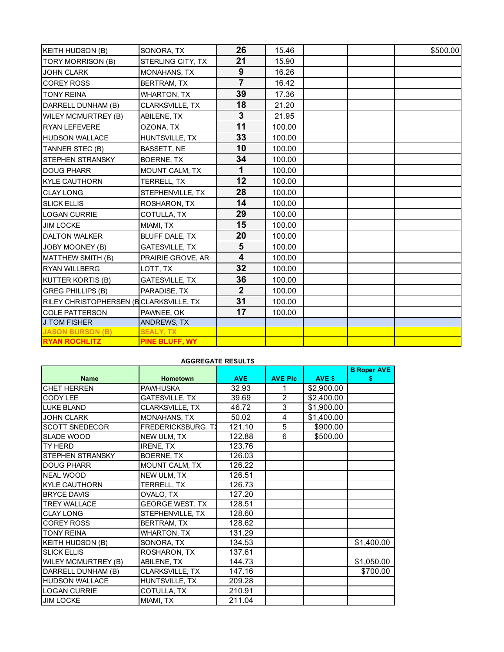| KEITH HUDSON (B)                       | SONORA, TX            | 26                      | 15.46  |  | \$500.00 |
|----------------------------------------|-----------------------|-------------------------|--------|--|----------|
| <b>TORY MORRISON (B)</b>               | STERLING CITY, TX     | 21                      | 15.90  |  |          |
| <b>JOHN CLARK</b>                      | MONAHANS, TX          | 9                       | 16.26  |  |          |
| <b>COREY ROSS</b>                      | BERTRAM, TX           | $\overline{7}$          | 16.42  |  |          |
| <b>TONY REINA</b>                      | <b>WHARTON, TX</b>    | 39                      | 17.36  |  |          |
| DARRELL DUNHAM (B)                     | CLARKSVILLE, TX       | 18                      | 21.20  |  |          |
| <b>WILEY MCMURTREY (B)</b>             | ABILENE, TX           | $\mathbf{3}$            | 21.95  |  |          |
| <b>RYAN LEFEVERE</b>                   | OZONA, TX             | 11                      | 100.00 |  |          |
| <b>HUDSON WALLACE</b>                  | HUNTSVILLE, TX        | 33                      | 100.00 |  |          |
| TANNER STEC (B)                        | BASSETT, NE           | 10                      | 100.00 |  |          |
| <b>STEPHEN STRANSKY</b>                | BOERNE, TX            | 34                      | 100.00 |  |          |
| <b>DOUG PHARR</b>                      | MOUNT CALM, TX        | 1                       | 100.00 |  |          |
| <b>KYLE CAUTHORN</b>                   | TERRELL, TX           | 12                      | 100.00 |  |          |
| <b>CLAY LONG</b>                       | STEPHENVILLE, TX      | 28                      | 100.00 |  |          |
| <b>SLICK ELLIS</b>                     | ROSHARON, TX          | 14                      | 100.00 |  |          |
| <b>LOGAN CURRIE</b>                    | COTULLA, TX           | 29                      | 100.00 |  |          |
| <b>JIM LOCKE</b>                       | MIAMI, TX             | 15                      | 100.00 |  |          |
| <b>DALTON WALKER</b>                   | BLUFF DALE, TX        | 20                      | 100.00 |  |          |
| JOBY MOONEY (B)                        | <b>GATESVILLE, TX</b> | 5                       | 100.00 |  |          |
| MATTHEW SMITH (B)                      | PRAIRIE GROVE, AR     | $\overline{\mathbf{4}}$ | 100.00 |  |          |
| <b>RYAN WILLBERG</b>                   | LOTT, TX              | 32                      | 100.00 |  |          |
| KUTTER KORTIS (B)                      | GATESVILLE, TX        | 36                      | 100.00 |  |          |
| <b>GREG PHILLIPS (B)</b>               | PARADISE, TX          | $\overline{2}$          | 100.00 |  |          |
| RILEY CHRISTOPHERSEN (BCLARKSVILLE, TX |                       | 31                      | 100.00 |  |          |
| <b>COLE PATTERSON</b>                  | PAWNEE, OK            | 17                      | 100.00 |  |          |
| <b>J TOM FISHER</b>                    | ANDREWS, TX           |                         |        |  |          |
| <b>JASON BURSON (B)</b>                | <b>SEALY, TX</b>      |                         |        |  |          |
| <b>RYAN ROCHLITZ</b>                   | PINE BLUFF, WY        |                         |        |  |          |

## **AGGREGATE RESULTS**

|                            |                           |            |                |            | <b>B Roper AVE</b> |
|----------------------------|---------------------------|------------|----------------|------------|--------------------|
| <b>Name</b>                | <b>Hometown</b>           | <b>AVE</b> | <b>AVE PIC</b> | AVE \$     | s                  |
| <b>CHET HERREN</b>         | <b>PAWHUSKA</b>           | 32.93      |                | \$2,900.00 |                    |
| CODY LEE                   | <b>GATESVILLE, TX</b>     | 39.69      | $\overline{2}$ | \$2,400.00 |                    |
| <b>LUKE BLAND</b>          | <b>CLARKSVILLE, TX</b>    | 46.72      | 3              | \$1,900.00 |                    |
| <b>JOHN CLARK</b>          | <b>MONAHANS, TX</b>       | 50.02      | 4              | \$1,400.00 |                    |
| <b>SCOTT SNEDECOR</b>      | <b>FREDERICKSBURG, TX</b> | 121.10     | 5              | \$900.00   |                    |
| SLADE WOOD                 | NEW ULM, TX               | 122.88     | 6              | \$500.00   |                    |
| TY HERD                    | IRENE, TX                 | 123.76     |                |            |                    |
| <b>STEPHEN STRANSKY</b>    | BOERNE, TX                | 126.03     |                |            |                    |
| <b>DOUG PHARR</b>          | MOUNT CALM, TX            | 126.22     |                |            |                    |
| <b>NEAL WOOD</b>           | NEW ULM, TX               | 126.51     |                |            |                    |
| <b>KYLE CAUTHORN</b>       | TERRELL, TX               | 126.73     |                |            |                    |
| <b>BRYCE DAVIS</b>         | OVALO, TX                 | 127.20     |                |            |                    |
| <b>TREY WALLACE</b>        | <b>GEORGE WEST, TX</b>    | 128.51     |                |            |                    |
| <b>CLAY LONG</b>           | STEPHENVILLE, TX          | 128.60     |                |            |                    |
| <b>COREY ROSS</b>          | <b>BERTRAM, TX</b>        | 128.62     |                |            |                    |
| <b>TONY REINA</b>          | <b>WHARTON, TX</b>        | 131.29     |                |            |                    |
| <b>KEITH HUDSON (B)</b>    | SONORA, TX                | 134.53     |                |            | \$1,400.00         |
| <b>SLICK ELLIS</b>         | ROSHARON, TX              | 137.61     |                |            |                    |
| <b>WILEY MCMURTREY (B)</b> | ABILENE, TX               | 144.73     |                |            | \$1,050.00         |
| DARRELL DUNHAM (B)         | CLARKSVILLE, TX           | 147.16     |                |            | \$700.00           |
| <b>HUDSON WALLACE</b>      | HUNTSVILLE, TX            | 209.28     |                |            |                    |
| LOGAN CURRIE               | COTULLA, TX               | 210.91     |                |            |                    |
| <b>JIM LOCKE</b>           | MIAMI, TX                 | 211.04     |                |            |                    |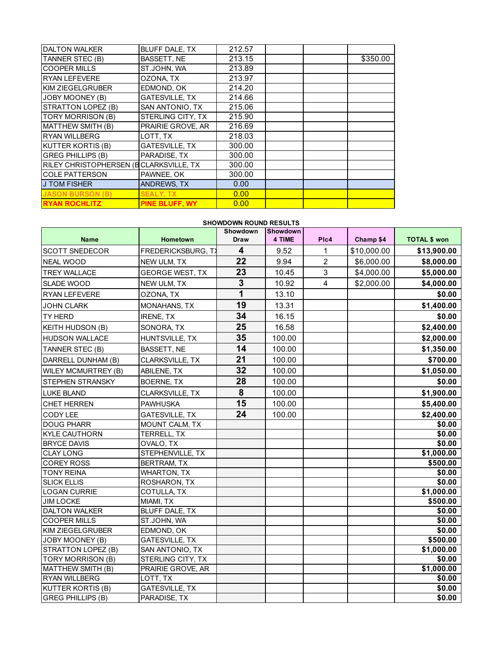| <b>DALTON WALKER</b>                   | <b>BLUFF DALE, TX</b> | 212.57 |  |          |
|----------------------------------------|-----------------------|--------|--|----------|
| TANNER STEC (B)                        | <b>BASSETT. NE</b>    | 213.15 |  | \$350.00 |
| <b>COOPER MILLS</b>                    | ST.JOHN. WA           | 213.89 |  |          |
| <b>RYAN LEFEVERE</b>                   | OZONA, TX             | 213.97 |  |          |
| KIM ZIEGELGRUBER                       | EDMOND, OK            | 214.20 |  |          |
| JOBY MOONEY (B)                        | GATESVILLE, TX        | 214.66 |  |          |
| STRATTON LOPEZ (B)                     | SAN ANTONIO. TX       | 215.06 |  |          |
| <b>TORY MORRISON (B)</b>               | STERLING CITY, TX     | 215.90 |  |          |
| MATTHEW SMITH (B)                      | PRAIRIE GROVE, AR     | 216.69 |  |          |
| <b>RYAN WILLBERG</b>                   | LOTT, TX              | 218.03 |  |          |
| KUTTER KORTIS (B)                      | <b>GATESVILLE, TX</b> | 300.00 |  |          |
| <b>GREG PHILLIPS (B)</b>               | PARADISE, TX          | 300.00 |  |          |
| RILEY CHRISTOPHERSEN (BCLARKSVILLE, TX |                       | 300.00 |  |          |
| <b>COLE PATTERSON</b>                  | PAWNEE, OK            | 300.00 |  |          |
| <b>J TOM FISHER</b>                    | <b>ANDREWS, TX</b>    | 0.00   |  |          |
| <b>JASON BURSON (B)</b>                | <b>SEALY, TX</b>      | 0.00   |  |          |
| <b>RYAN ROCHLITZ</b>                   | <b>PINE BLUFF. WY</b> | 0.00   |  |          |

## **SHOWDOWN ROUND RESULTS**

|                            |                           | Showdown                | <b>Showdown</b> |                |             |                     |
|----------------------------|---------------------------|-------------------------|-----------------|----------------|-------------|---------------------|
| <b>Name</b>                | Hometown                  | <b>Draw</b>             | 4 TIME          | Plc4           | Champ \$4   | <b>TOTAL \$ won</b> |
| <b>SCOTT SNEDECOR</b>      | <b>FREDERICKSBURG, T)</b> | $\overline{\mathbf{4}}$ | 9.52            | $\mathbf{1}$   | \$10,000.00 | \$13,900.00         |
| <b>NEAL WOOD</b>           | NEW ULM, TX               | 22                      | 9.94            | 2              | \$6,000.00  | \$8,000.00          |
| <b>TREY WALLACE</b>        | <b>GEORGE WEST, TX</b>    | 23                      | 10.45           | 3              | \$4,000.00  | \$5,000.00          |
| <b>SLADE WOOD</b>          | NEW ULM, TX               | $\mathbf{3}$            | 10.92           | $\overline{4}$ | \$2,000.00  | \$4,000.00          |
| RYAN LEFEVERE              | OZONA, TX                 | 1                       | 13.10           |                |             | \$0.00              |
| <b>JOHN CLARK</b>          | <b>MONAHANS, TX</b>       | 19                      | 13.31           |                |             | \$1,400.00          |
| <b>TY HERD</b>             | <b>IRENE, TX</b>          | 34                      | 16.15           |                |             | \$0.00              |
| <b>KEITH HUDSON (B)</b>    | SONORA, TX                | 25                      | 16.58           |                |             | \$2,400.00          |
| <b>HUDSON WALLACE</b>      | HUNTSVILLE, TX            | 35                      | 100.00          |                |             | \$2,000.00          |
| TANNER STEC (B)            | BASSETT, NE               | 14                      | 100.00          |                |             | \$1,350.00          |
| DARRELL DUNHAM (B)         | CLARKSVILLE, TX           | 21                      | 100.00          |                |             | \$700.00            |
| <b>WILEY MCMURTREY (B)</b> | ABILENE, TX               | 32                      | 100.00          |                |             | \$1,050.00          |
| <b>STEPHEN STRANSKY</b>    | <b>BOERNE, TX</b>         | 28                      | 100.00          |                |             | \$0.00              |
| <b>LUKE BLAND</b>          | CLARKSVILLE, TX           | 8                       | 100.00          |                |             | \$1,900.00          |
| CHET HERREN                | <b>PAWHUSKA</b>           | 15                      | 100.00          |                |             | \$5,400.00          |
| <b>CODY LEE</b>            | <b>GATESVILLE, TX</b>     | 24                      | 100.00          |                |             | \$2,400.00          |
| <b>DOUG PHARR</b>          | MOUNT CALM, TX            |                         |                 |                |             | \$0.00              |
| <b>KYLE CAUTHORN</b>       | TERRELL, TX               |                         |                 |                |             | $\sqrt{$0.00}$      |
| <b>BRYCE DAVIS</b>         | OVALO, TX                 |                         |                 |                |             | \$0.00              |
| <b>CLAY LONG</b>           | STEPHENVILLE, TX          |                         |                 |                |             | \$1,000.00          |
| <b>COREY ROSS</b>          | BERTRAM, TX               |                         |                 |                |             | \$500.00            |
| <b>TONY REINA</b>          | <b>WHARTON, TX</b>        |                         |                 |                |             | \$0.00              |
| <b>SLICK ELLIS</b>         | ROSHARON, TX              |                         |                 |                |             | \$0.00              |
| <b>LOGAN CURRIE</b>        | COTULLA, TX               |                         |                 |                |             | \$1,000.00          |
| <b>JIM LOCKE</b>           | MIAMI. TX                 |                         |                 |                |             | \$500.00            |
| <b>DALTON WALKER</b>       | BLUFF DALE, TX            |                         |                 |                |             | \$0.00              |
| <b>COOPER MILLS</b>        | ST.JOHN, WA               |                         |                 |                |             | \$0.00              |
| KIM ZIEGELGRUBER           | EDMOND, OK                |                         |                 |                |             | \$0.00              |
| JOBY MOONEY (B)            | <b>GATESVILLE, TX</b>     |                         |                 |                |             | \$500.00            |
| STRATTON LOPEZ (B)         | SAN ANTONIO, TX           |                         |                 |                |             | \$1,000.00          |
| <b>TORY MORRISON (B)</b>   | STERLING CITY, TX         |                         |                 |                |             | \$0.00              |
| MATTHEW SMITH (B)          | PRAIRIE GROVE, AR         |                         |                 |                |             | \$1,000.00          |
| <b>RYAN WILLBERG</b>       | LOTT, TX                  |                         |                 |                |             | \$0.00              |
| <b>KUTTER KORTIS (B)</b>   | <b>GATESVILLE, TX</b>     |                         |                 |                |             | \$0.00              |
| <b>GREG PHILLIPS (B)</b>   | PARADISE, TX              |                         |                 |                |             | \$0.00              |